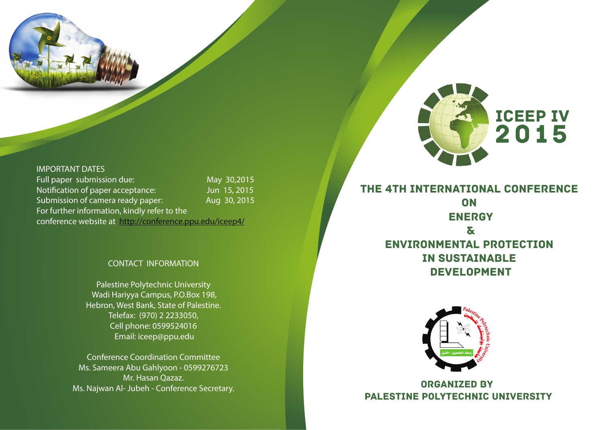

#### **IMPORTANT DATES Full paper submission due: Notification of paper acceptance: Submission of camera ready paper: For further information, kindly refer to the conference website at http://conference.ppu.edu/iceep4/ May 30,2015 Jun 15, 2015 Aug 30, 2015**

## **CONTACT INFORMATION**

**Palestine Polytechnic University Wadi Hariyya Campus, P.O.Box 198, Hebron, West Bank, State of Palestine. Telefax: (970) 2 2233050, Cell phone: 0599524016 Email: iceep@ppu.edu**

**Conference Coordination Committee Ms. Sameera Abu Gahlyoon - 0599276723 Mr. Hasan Qazaz. Ms. Najwan Al- Jubeh - Conference Secretary.** 



2015

ICEEP IV



ORGANIZED BY Palestine Polytechnic University